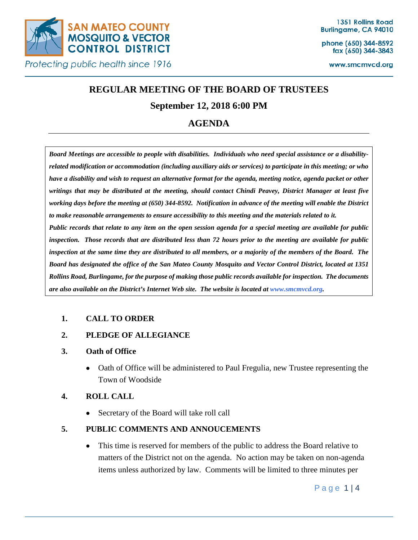

phone (650) 344-8592 fax (650) 344-3843

www.smcmvcd.org

# **REGULAR MEETING OF THE BOARD OF TRUSTEES**

## **September 12, 2018 6:00 PM**

## **AGENDA**

*Board Meetings are accessible to people with disabilities. Individuals who need special assistance or a disabilityrelated modification or accommodation (including auxiliary aids or services) to participate in this meeting; or who have a disability and wish to request an alternative format for the agenda, meeting notice, agenda packet or other writings that may be distributed at the meeting, should contact Chindi Peavey, District Manager at least five working days before the meeting at (650) 344-8592. Notification in advance of the meeting will enable the District to make reasonable arrangements to ensure accessibility to this meeting and the materials related to it. Public records that relate to any item on the open session agenda for a special meeting are available for public inspection. Those records that are distributed less than 72 hours prior to the meeting are available for public inspection at the same time they are distributed to all members, or a majority of the members of the Board. The Board has designated the office of the San Mateo County Mosquito and Vector Control District, located at 1351 Rollins Road, Burlingame, for the purpose of making those public records available for inspection. The documents are also available on the District's Internet Web site. The website is located at www.smcmvcd.org.* 

## **1. CALL TO ORDER**

#### **2. PLEDGE OF ALLEGIANCE**

#### **3. Oath of Office**

• Oath of Office will be administered to Paul Fregulia, new Trustee representing the Town of Woodside

## **4. ROLL CALL**

• Secretary of the Board will take roll call

## **5. PUBLIC COMMENTS AND ANNOUCEMENTS**

• This time is reserved for members of the public to address the Board relative to matters of the District not on the agenda. No action may be taken on non-agenda items unless authorized by law. Comments will be limited to three minutes per

Page 1 | 4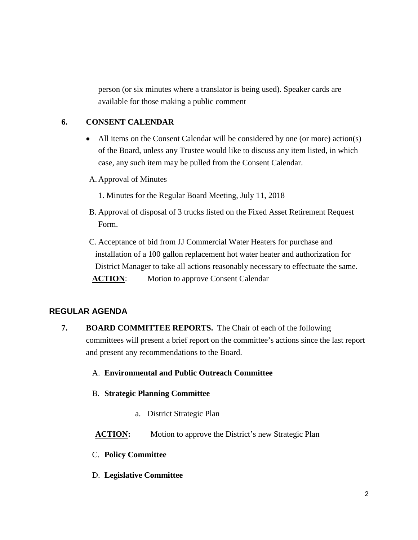person (or six minutes where a translator is being used). Speaker cards are available for those making a public comment

## **6. CONSENT CALENDAR**

- All items on the Consent Calendar will be considered by one (or more) action(s) of the Board, unless any Trustee would like to discuss any item listed, in which case, any such item may be pulled from the Consent Calendar.
- A. Approval of Minutes
	- 1. Minutes for the Regular Board Meeting, July 11, 2018
- B. Approval of disposal of 3 trucks listed on the Fixed Asset Retirement Request Form.
- C. Acceptance of bid from JJ Commercial Water Heaters for purchase and installation of a 100 gallon replacement hot water heater and authorization for District Manager to take all actions reasonably necessary to effectuate the same. **ACTION:** Motion to approve Consent Calendar

## **REGULAR AGENDA**

- **7. BOARD COMMITTEE REPORTS.** The Chair of each of the following committees will present a brief report on the committee's actions since the last report and present any recommendations to the Board.
	- A. **Environmental and Public Outreach Committee**
	- B. **Strategic Planning Committee**
		- a. District Strategic Plan
	- **ACTION:** Motion to approve the District's new Strategic Plan
	- C. **Policy Committee**
	- D. **Legislative Committee**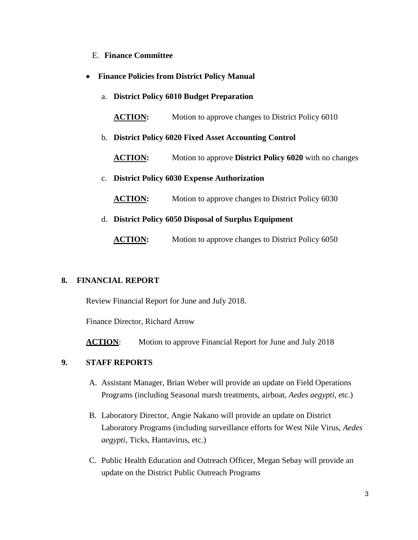- E. **Finance Committee**
- **Finance Policies from District Policy Manual**
	- a. **District Policy 6010 Budget Preparation**

ACTION: Motion to approve changes to District Policy 6010

b. **District Policy 6020 Fixed Asset Accounting Control**

**ACTION:** Motion to approve **District Policy 6020** with no changes

- c. **District Policy 6030 Expense Authorization**
	- **ACTION:** Motion to approve changes to District Policy 6030
- d. **District Policy 6050 Disposal of Surplus Equipment**

**ACTION:** Motion to approve changes to District Policy 6050

#### **8. FINANCIAL REPORT**

Review Financial Report for June and July 2018.

Finance Director, Richard Arrow

**ACTION:** Motion to approve Financial Report for June and July 2018

## **9. STAFF REPORTS**

- A. Assistant Manager, Brian Weber will provide an update on Field Operations Programs (including Seasonal marsh treatments, airboat, *Aedes aegypti*, etc.)
- B. Laboratory Director, Angie Nakano will provide an update on District Laboratory Programs (including surveillance efforts for West Nile Virus, *Aedes aegypti*, Ticks, Hantavirus, etc.)
- C. Public Health Education and Outreach Officer, Megan Sebay will provide an update on the District Public Outreach Programs